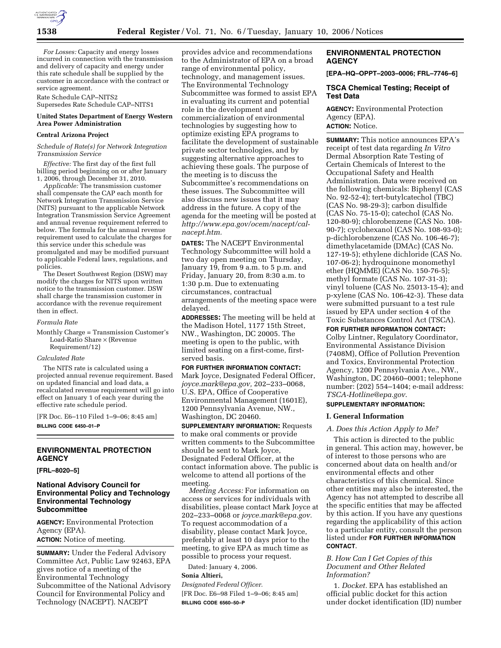

*For Losses:* Capacity and energy losses incurred in connection with the transmission and delivery of capacity and energy under this rate schedule shall be supplied by the customer in accordance with the contract or service agreement.

Rate Schedule CAP–NITS2 Supersedes Rate Schedule CAP–NITS1

### **United States Department of Energy Western Area Power Administration**

#### **Central Arizona Project**

#### *Schedule of Rate(s) for Network Integration Transmission Service*

*Effective:* The first day of the first full billing period beginning on or after January 1, 2006, through December 31, 2010.

*Applicable:* The transmission customer shall compensate the CAP each month for Network Integration Transmission Service (NITS) pursuant to the applicable Network Integration Transmission Service Agreement and annual revenue requirement referred to below. The formula for the annual revenue requirement used to calculate the charges for this service under this schedule was promulgated and may be modified pursuant to applicable Federal laws, regulations, and policies.

The Desert Southwest Region (DSW) may modify the charges for NITS upon written notice to the transmission customer. DSW shall charge the transmission customer in accordance with the revenue requirement then in effect.

#### *Formula Rate*

Monthly Charge = Transmission Customer's Load-Ratio Share × (Revenue Requirement/12)

#### *Calculated Rate*

The NITS rate is calculated using a projected annual revenue requirement. Based on updated financial and load data, a recalculated revenue requirement will go into effect on January 1 of each year during the effective rate schedule period.

[FR Doc. E6–110 Filed 1–9–06; 8:45 am] **BILLING CODE 6450–01–P** 

# **ENVIRONMENTAL PROTECTION AGENCY**

#### **[FRL–8020–5]**

## **National Advisory Council for Environmental Policy and Technology Environmental Technology Subcommittee**

**AGENCY:** Environmental Protection Agency (EPA). **ACTION:** Notice of meeting.

**SUMMARY:** Under the Federal Advisory Committee Act, Public Law 92463, EPA gives notice of a meeting of the Environmental Technology Subcommittee of the National Advisory Council for Environmental Policy and Technology (NACEPT). NACEPT

provides advice and recommendations to the Administrator of EPA on a broad range of environmental policy, technology, and management issues. The Environmental Technology Subcommittee was formed to assist EPA in evaluating its current and potential role in the development and commercialization of environmental technologies by suggesting how to optimize existing EPA programs to facilitate the development of sustainable private sector technologies, and by suggesting alternative approaches to achieving these goals. The purpose of the meeting is to discuss the Subcommittee's recommendations on these issues. The Subcommittee will also discuss new issues that it may address in the future. A copy of the agenda for the meeting will be posted at *http://www.epa.gov/ocem/nacept/calnacept.htm.* 

**DATES:** The NACEPT Environmental Technology Subcommittee will hold a two day open meeting on Thursday, January 19, from 9 a.m. to 5 p.m. and Friday, January 20, from 8:30 a.m. to 1:30 p.m. Due to extenuating circumstances, contractual arrangements of the meeting space were delayed.

**ADDRESSES:** The meeting will be held at the Madison Hotel, 1177 15th Street, NW., Washington, DC 20005. The meeting is open to the public, with limited seating on a first-come, firstserved basis.

## **FOR FURTHER INFORMATION CONTACT:**

Mark Joyce, Designated Federal Officer, *joyce.mark@epa.gov,* 202–233–0068, U.S. EPA, Office of Cooperative Environmental Management (1601E), 1200 Pennsylvania Avenue, NW., Washington, DC 20460.

**SUPPLEMENTARY INFORMATION:** Requests to make oral comments or provide written comments to the Subcommittee should be sent to Mark Joyce, Designated Federal Officer, at the contact information above. The public is welcome to attend all portions of the meeting.

*Meeting Access:* For information on access or services for individuals with disabilities, please contact Mark Joyce at 202–233–0068 or *joyce.mark@epa.gov.*  To request accommodation of a disability, please contact Mark Joyce, preferably at least 10 days prior to the meeting, to give EPA as much time as possible to process your request.

Dated: January 4, 2006.

#### **Sonia Altieri,**

*Designated Federal Officer.* 

[FR Doc. E6–98 Filed 1–9–06; 8:45 am] **BILLING CODE 6560–50–P** 

# **ENVIRONMENTAL PROTECTION AGENCY**

**[EPA–HQ–OPPT–2003–0006; FRL–7746–6]** 

### **TSCA Chemical Testing; Receipt of Test Data**

**AGENCY:** Environmental Protection Agency (EPA). **ACTION:** Notice.

**SUMMARY:** This notice announces EPA's receipt of test data regarding *In Vitro*  Dermal Absorption Rate Testing of Certain Chemicals of Interest to the Occupational Safety and Health Administration. Data were received on the following chemicals: Biphenyl (CAS No. 92-52-4); tert-butylcatechol (TBC) (CAS No. 98-29-3); carbon disulfide (CAS No. 75-15-0); catechol (CAS No. 120-80-9); chlorobenzene (CAS No. 108- 90-7); cyclohexanol (CAS No. 108-93-0); p-dichlorobenzene (CAS No. 106-46-7); dimethylacetamide (DMAc) (CAS No. 127-19-5); ethylene dichloride (CAS No. 107-06-2); hydroquinone monomethyl ether (HQMME) (CAS No. 150-76-5); methyl formate (CAS No. 107-31-3); vinyl toluene (CAS No. 25013-15-4); and p-xylene (CAS No. 106-42-3). These data were submitted pursuant to a test rule issued by EPA under section 4 of the Toxic Substances Control Act (TSCA).

## **FOR FURTHER INFORMATION CONTACT:**

Colby Lintner, Regulatory Coordinator, Environmental Assistance Division (7408M), Office of Pollution Prevention and Toxics, Environmental Protection Agency, 1200 Pennsylvania Ave., NW., Washington, DC 20460–0001; telephone number: (202) 554–1404; e-mail address: *TSCA-Hotline@epa.gov*.

### **SUPPLEMENTARY INFORMATION:**

### **I. General Information**

## *A. Does this Action Apply to Me?*

This action is directed to the public in general. This action may, however, be of interest to those persons who are concerned about data on health and/or environmental effects and other characteristics of this chemical. Since other entities may also be interested, the Agency has not attempted to describe all the specific entities that may be affected by this action. If you have any questions regarding the applicability of this action to a particular entity, consult the person listed under **FOR FURTHER INFORMATION CONTACT**.

## *B. How Can I Get Copies of this Document and Other Related Information?*

1. *Docket.* EPA has established an official public docket for this action under docket identification (ID) number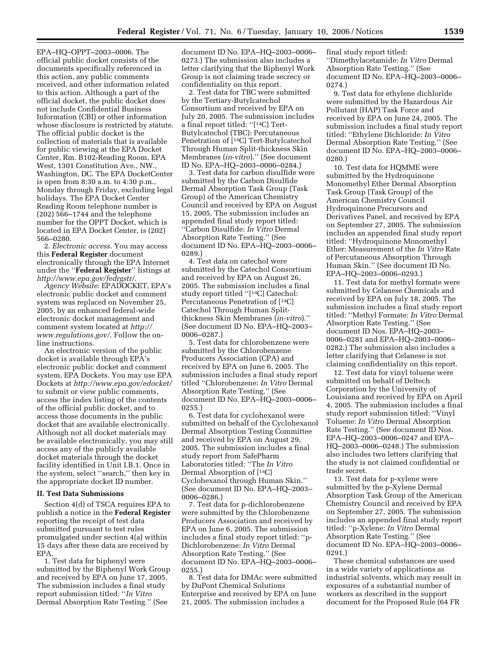EPA–HQ–OPPT–2003–0006. The official public docket consists of the documents specifically referenced in this action, any public comments received, and other information related to this action. Although a part of the official docket, the public docket does not include Confidential Business Information (CBI) or other information whose disclosure is restricted by statute. The official public docket is the collection of materials that is available for public viewing at the EPA Docket Center, Rm. B102-Reading Room, EPA West, 1301 Constitution Ave., NW., Washington, DC. The EPA DocketCenter is open from 8:30 a.m. to 4:30 p.m., Monday through Friday, excluding legal holidays. The EPA Docket Center Reading Room telephone number is (202) 566–1744 and the telephone number for the OPPT Docket, which is located in EPA Docket Center, is (202) 566–0280.

2. *Electronic access*. You may access this **Federal Register** document electronically through the EPA Internet under the ''**Federal Register**'' listings at *http://www.epa.gov/fedrgstr/*.

*Agency Website*: EPADOCKET, EPA's electronic public docket and comment system was replaced on November 25, 2005, by an enhanced federal-wide electronic docket management and comment system located at *http:// www.regulations.gov/*. Follow the online instructions.

An electronic version of the public docket is available through EPA's electronic public docket and comment system, EPA Dockets. You may use EPA Dockets at *http://www.epa.gov/edocket/*  to submit or view public comments, access the index listing of the contents of the official public docket, and to access those documents in the public docket that are available electronically. Although not all docket materials may be available electronically, you may still access any of the publicly available docket materials through the docket facility identified in Unit I.B.1. Once in the system, select ''search,'' then key in the appropriate docket ID number.

### **II. Test Data Submissions**

Section 4(d) of TSCA requires EPA to publish a notice in the **Federal Register**  reporting the receipt of test data submitted pursuant to test rules promulgated under section 4(a) within 15 days after these data are received by EPA.

1. Test data for biphenyl were submitted by the Biphenyl Work Group and received by EPA on June 17, 2005. The submission includes a final study report submission titled: ''*In Vitro*  Dermal Absorption Rate Testing.'' (See

document ID No. EPA–HQ–2003–0006– 0273.) The submission also includes a letter clarifying that the Biphenyl Work Group is not claiming trade secrecy or confidentiality on this report.

2. Test data for TBC were submitted by the Tertiary-Butylcatechol Consortium and received by EPA on July 20, 2005. The submission includes a final report titled: ''[14C] Tert-Butylcatechol (TBC): Percutaneous Penetration of [14C] Tert-Butylcatechol Through Human Split-thickness Skin Membranes (*in-vitro*).'' (See document ID No. EPA–HQ–2003–0006–0284.)

3. Test data for carbon disulfide were submitted by the Carbon Disulfide Dermal Absorption Task Group (Task Group) of the American Chemistry Council and received by EPA on August 15, 2005. The submission includes an appended final study report titled: ''Carbon Disulfide: *In Vitro* Dermal Absorption Rate Testing.'' (See document ID No. EPA–HQ–2003–0006– 0289.)

4. Test data on catechol were submitted by the Catechol Consortium and received by EPA on August 26, 2005. The submission includes a final study report titled ''[14C] Catechol: Percutaneous Penetration of [14C] Catechol Through Human Splitthickness Skin Membranes (*in-vitro*).'' (See document ID No. EPA–HQ–2003– 0006–0287.)

5. Test data for chlorobenzene were submitted by the Chlorobenzene Producers Association (CPA) and received by EPA on June 6, 2005. The submission includes a final study report titled ''Chlorobenzene: *In Vitro* Dermal Absorption Rate Testing.'' (See document ID No. EPA–HQ–2003–0006– 0255.)

6. Test data for cyclohexanol were submitted on behalf of the Cyclohexanol Dermal Absorption Testing Committee and received by EPA on August 29, 2005. The submission includes a final study report from SafePharm Laboratories titled: ''The *In Vitro*  Dermal Absorption of [14C] Cyclohexanol through Human Skin.'' (See document ID No. EPA–HQ–2003– 0006–0286.)

7. Test data for p-dichlorobenzene were submitted by the Chlorobenzene Producers Association and received by EPA on June 6, 2005. The submission includes a final study report titled: ''p-Dichlorobenzene: *In Vitro* Dermal Absorption Rate Testing.'' (See document ID No. EPA–HQ–2003–0006– 0255.)

8. Test data for DMAc were submitted by DuPont Chemical Solutions Enterprise and received by EPA on June 21, 2005. The submission includes a

final study report titled: ''Dimethylacetamide: *In Vitro* Dermal Absorption Rate Testing.'' (See document ID No. EPA–HQ–2003–0006– 0274.)

9. Test data for ethylene dichloride were submitted by the Hazardous Air Pollutant (HAP) Task Force and received by EPA on June 24, 2005. The submission includes a final study report titled: ''Ethylene Dichloride: *In Vitro*  Dermal Absorption Rate Testing.'' (See document ID No. EPA–HQ–2003–0006– 0280.)

10. Test data for HQMME were submitted by the Hydroquinone Monomethyl Ether Dermal Absorption Task Group (Task Group) of the American Chemistry Council Hydroquinone Precursors and Derivatives Panel, and received by EPA on September 27, 2005. The submission includes an appended final study report titled: ''Hydroquinone Monomethyl Ether: Measurement of the *In Vitro* Rate of Percutaneous Absorption Through Human Skin.'' (See document ID No. EPA–HQ–2003–0006–0293.)

11. Test data for methyl formate were submitted by Celanese Chemicals and received by EPA on July 18, 2005. The submission includes a final study report titled: ''Methyl Formate: *In Vitro* Dermal Absorption Rate Testing.'' (See document ID Nos. EPA–HQ–2003– 0006–0281 and EPA–HQ–2003–0006– 0282.) The submission also includes a letter clarifying that Celanese is not claiming confidentiality on this report.

12. Test data for vinyl toluene were submitted on behalf of Deltech Corporation by the University of Louisiana and received by EPA on April 4, 2005. The submission includes a final study report submission titled: ''Vinyl Toluene: *In Vitro* Dermal Absorption Rate Testing.'' (See document ID Nos. EPA–HQ–2003–0006–0247 and EPA– HQ–2003–0006–0248.) The submission also includes two letters clarifying that the study is not claimed confidential or trade secret.

13. Test data for p-xylene were submitted by the p-Xylene Dermal Absorption Task Group of the American Chemistry Council and received by EPA on September 27, 2005. The submission includes an appended final study report titled: ''p-Xylene: *In Vitro* Dermal Absorption Rate Testing.'' (See document ID No. EPA–HQ–2003–0006– 0291.)

These chemical substances are used in a wide variety of applications as industrial solvents, which may result in exposures of a substantial number of workers as described in the support document for the Proposed Rule (64 FR